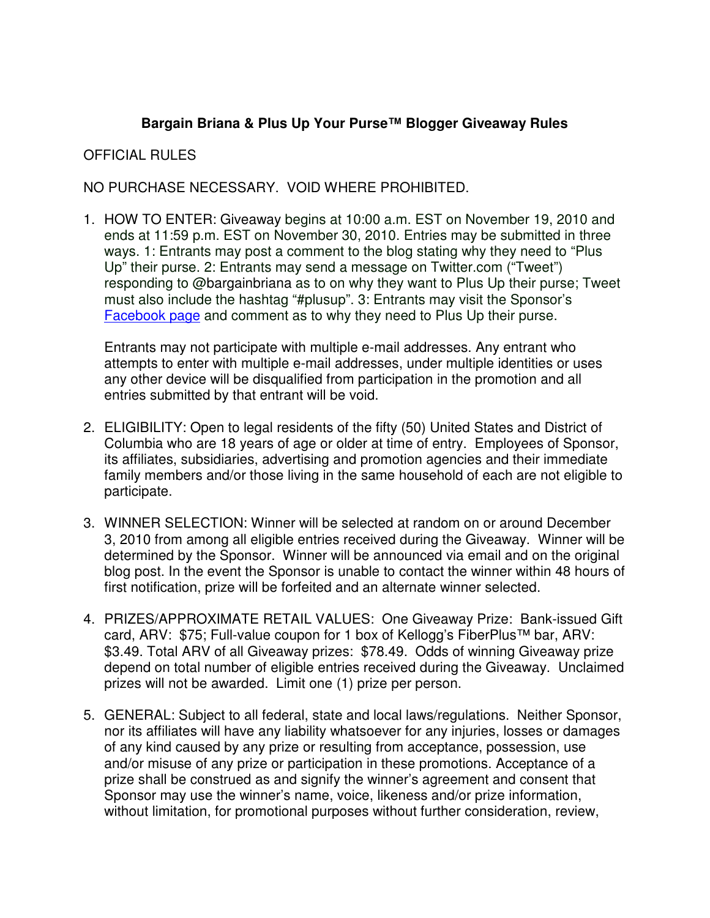## **Bargain Briana & Plus Up Your Purse™ Blogger Giveaway Rules**

## OFFICIAL RULES

NO PURCHASE NECESSARY. VOID WHERE PROHIBITED.

1. HOW TO ENTER: Giveaway begins at 10:00 a.m. EST on November 19, 2010 and ends at 11:59 p.m. EST on November 30, 2010. Entries may be submitted in three ways. 1: Entrants may post a comment to the blog stating why they need to "Plus Up" their purse. 2: Entrants may send a message on Twitter.com ("Tweet") responding to @bargainbriana as to on why they want to Plus Up their purse; Tweet must also include the hashtag "#plusup". 3: Entrants may visit the Sponsor's Facebook page and comment as to why they need to Plus Up their purse.

Entrants may not participate with multiple e-mail addresses. Any entrant who attempts to enter with multiple e-mail addresses, under multiple identities or uses any other device will be disqualified from participation in the promotion and all entries submitted by that entrant will be void.

- 2. ELIGIBILITY: Open to legal residents of the fifty (50) United States and District of Columbia who are 18 years of age or older at time of entry. Employees of Sponsor, its affiliates, subsidiaries, advertising and promotion agencies and their immediate family members and/or those living in the same household of each are not eligible to participate.
- 3. WINNER SELECTION: Winner will be selected at random on or around December 3, 2010 from among all eligible entries received during the Giveaway. Winner will be determined by the Sponsor. Winner will be announced via email and on the original blog post. In the event the Sponsor is unable to contact the winner within 48 hours of first notification, prize will be forfeited and an alternate winner selected.
- 4. PRIZES/APPROXIMATE RETAIL VALUES: One Giveaway Prize: Bank-issued Gift card, ARV: \$75; Full-value coupon for 1 box of Kellogg's FiberPlus™ bar, ARV: \$3.49. Total ARV of all Giveaway prizes: \$78.49. Odds of winning Giveaway prize depend on total number of eligible entries received during the Giveaway. Unclaimed prizes will not be awarded. Limit one (1) prize per person.
- 5. GENERAL: Subject to all federal, state and local laws/regulations. Neither Sponsor, nor its affiliates will have any liability whatsoever for any injuries, losses or damages of any kind caused by any prize or resulting from acceptance, possession, use and/or misuse of any prize or participation in these promotions. Acceptance of a prize shall be construed as and signify the winner's agreement and consent that Sponsor may use the winner's name, voice, likeness and/or prize information, without limitation, for promotional purposes without further consideration, review,